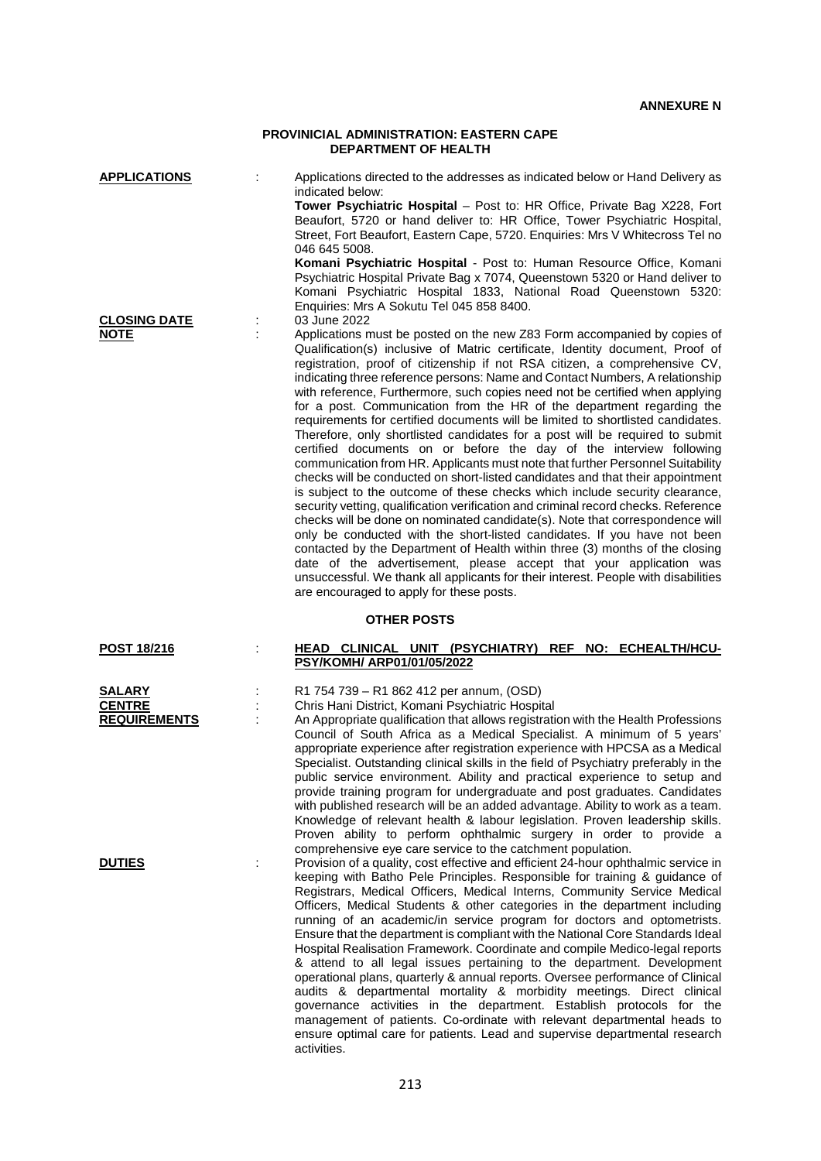## **PROVINICIAL ADMINISTRATION: EASTERN CAPE DEPARTMENT OF HEALTH**

| <b>APPLICATIONS</b>                                   |                    | Applications directed to the addresses as indicated below or Hand Delivery as<br>indicated below:<br>Tower Psychiatric Hospital - Post to: HR Office, Private Bag X228, Fort<br>Beaufort, 5720 or hand deliver to: HR Office, Tower Psychiatric Hospital,<br>Street, Fort Beaufort, Eastern Cape, 5720. Enquiries: Mrs V Whitecross Tel no<br>046 645 5008.<br>Komani Psychiatric Hospital - Post to: Human Resource Office, Komani<br>Psychiatric Hospital Private Bag x 7074, Queenstown 5320 or Hand deliver to<br>Komani Psychiatric Hospital 1833, National Road Queenstown 5320:<br>Enquiries: Mrs A Sokutu Tel 045 858 8400.                                                                                                                                                                                                                                                                                                                                                                                                                                                                                                                                                                                                                                                                                                                                                                                                                                                                                                     |  |  |  |
|-------------------------------------------------------|--------------------|-----------------------------------------------------------------------------------------------------------------------------------------------------------------------------------------------------------------------------------------------------------------------------------------------------------------------------------------------------------------------------------------------------------------------------------------------------------------------------------------------------------------------------------------------------------------------------------------------------------------------------------------------------------------------------------------------------------------------------------------------------------------------------------------------------------------------------------------------------------------------------------------------------------------------------------------------------------------------------------------------------------------------------------------------------------------------------------------------------------------------------------------------------------------------------------------------------------------------------------------------------------------------------------------------------------------------------------------------------------------------------------------------------------------------------------------------------------------------------------------------------------------------------------------|--|--|--|
| <b>CLOSING DATE</b><br><b>NOTE</b>                    |                    | 03 June 2022<br>Applications must be posted on the new Z83 Form accompanied by copies of<br>Qualification(s) inclusive of Matric certificate, Identity document, Proof of<br>registration, proof of citizenship if not RSA citizen, a comprehensive CV,<br>indicating three reference persons: Name and Contact Numbers, A relationship<br>with reference, Furthermore, such copies need not be certified when applying<br>for a post. Communication from the HR of the department regarding the<br>requirements for certified documents will be limited to shortlisted candidates.<br>Therefore, only shortlisted candidates for a post will be required to submit<br>certified documents on or before the day of the interview following<br>communication from HR. Applicants must note that further Personnel Suitability<br>checks will be conducted on short-listed candidates and that their appointment<br>is subject to the outcome of these checks which include security clearance,<br>security vetting, qualification verification and criminal record checks. Reference<br>checks will be done on nominated candidate(s). Note that correspondence will<br>only be conducted with the short-listed candidates. If you have not been<br>contacted by the Department of Health within three (3) months of the closing<br>date of the advertisement, please accept that your application was<br>unsuccessful. We thank all applicants for their interest. People with disabilities<br>are encouraged to apply for these posts. |  |  |  |
|                                                       | <b>OTHER POSTS</b> |                                                                                                                                                                                                                                                                                                                                                                                                                                                                                                                                                                                                                                                                                                                                                                                                                                                                                                                                                                                                                                                                                                                                                                                                                                                                                                                                                                                                                                                                                                                                         |  |  |  |
| <b>POST 18/216</b>                                    |                    | <b>HEAD CLINICAL UNIT (PSYCHIATRY) REF NO: ECHEALTH/HCU-</b><br>PSY/KOMH/ ARP01/01/05/2022                                                                                                                                                                                                                                                                                                                                                                                                                                                                                                                                                                                                                                                                                                                                                                                                                                                                                                                                                                                                                                                                                                                                                                                                                                                                                                                                                                                                                                              |  |  |  |
| <b>SALARY</b><br><b>CENTRE</b><br><b>REQUIREMENTS</b> |                    | R1 754 739 - R1 862 412 per annum, (OSD)<br>Chris Hani District, Komani Psychiatric Hospital<br>An Appropriate qualification that allows registration with the Health Professions<br>Council of South Africa as a Medical Specialist. A minimum of 5 years'<br>appropriate experience after registration experience with HPCSA as a Medical<br>Specialist. Outstanding clinical skills in the field of Psychiatry preferably in the<br>public service environment. Ability and practical experience to setup and<br>provide training program for undergraduate and post graduates. Candidates<br>with published research will be an added advantage. Ability to work as a team.<br>Knowledge of relevant health & labour legislation. Proven leadership skills.<br>Proven ability to perform ophthalmic surgery in order to provide a                                                                                                                                                                                                                                                                                                                                                                                                                                                                                                                                                                                                                                                                                                   |  |  |  |
| <b>DUTIES</b>                                         |                    | comprehensive eye care service to the catchment population.<br>Provision of a quality, cost effective and efficient 24-hour ophthalmic service in<br>keeping with Batho Pele Principles. Responsible for training & guidance of<br>Registrars, Medical Officers, Medical Interns, Community Service Medical<br>Officers, Medical Students & other categories in the department including<br>running of an academic/in service program for doctors and optometrists.<br>Ensure that the department is compliant with the National Core Standards Ideal<br>Hospital Realisation Framework. Coordinate and compile Medico-legal reports<br>& attend to all legal issues pertaining to the department. Development                                                                                                                                                                                                                                                                                                                                                                                                                                                                                                                                                                                                                                                                                                                                                                                                                          |  |  |  |

operational plans, quarterly & annual reports. Oversee performance of Clinical audits & departmental mortality & morbidity meetings. Direct clinical governance activities in the department. Establish protocols for the management of patients. Co-ordinate with relevant departmental heads to ensure optimal care for patients. Lead and supervise departmental research activities.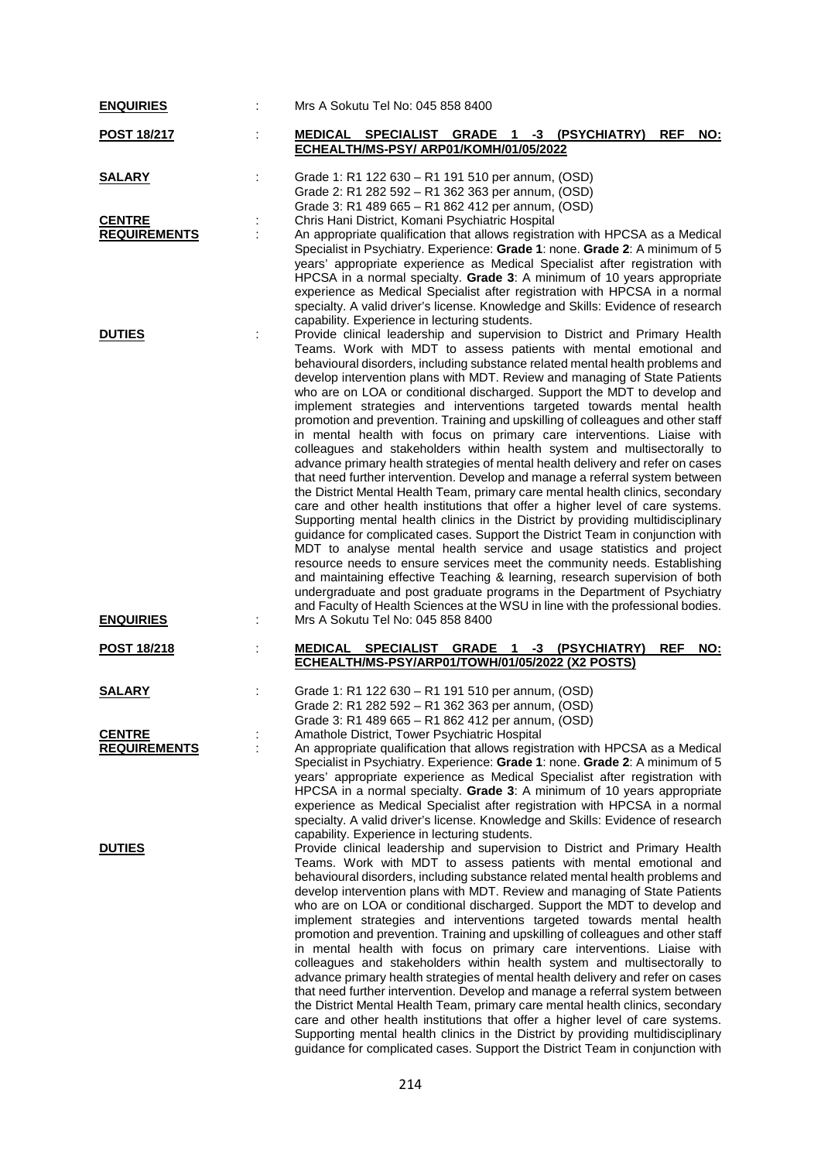| <b>ENQUIRIES</b>                     | Mrs A Sokutu Tel No: 045 858 8400                                                                                                                                                                                                                                                                                                                                                                                                                                                                                                                                                                                                                                                                                                                                                                                                                                                                                                                                                                                                                                                                                                                                                                                                                                                                                                                                                                                                                                                                                                                                                                                                                            |
|--------------------------------------|--------------------------------------------------------------------------------------------------------------------------------------------------------------------------------------------------------------------------------------------------------------------------------------------------------------------------------------------------------------------------------------------------------------------------------------------------------------------------------------------------------------------------------------------------------------------------------------------------------------------------------------------------------------------------------------------------------------------------------------------------------------------------------------------------------------------------------------------------------------------------------------------------------------------------------------------------------------------------------------------------------------------------------------------------------------------------------------------------------------------------------------------------------------------------------------------------------------------------------------------------------------------------------------------------------------------------------------------------------------------------------------------------------------------------------------------------------------------------------------------------------------------------------------------------------------------------------------------------------------------------------------------------------------|
| <b>POST 18/217</b>                   | MEDICAL SPECIALIST GRADE 1 -3 (PSYCHIATRY)<br><b>REF</b><br>NO:<br>ECHEALTH/MS-PSY/ ARP01/KOMH/01/05/2022                                                                                                                                                                                                                                                                                                                                                                                                                                                                                                                                                                                                                                                                                                                                                                                                                                                                                                                                                                                                                                                                                                                                                                                                                                                                                                                                                                                                                                                                                                                                                    |
| <b>SALARY</b>                        | Grade 1: R1 122 630 - R1 191 510 per annum, (OSD)<br>Grade 2: R1 282 592 - R1 362 363 per annum, (OSD)<br>Grade 3: R1 489 665 - R1 862 412 per annum, (OSD)                                                                                                                                                                                                                                                                                                                                                                                                                                                                                                                                                                                                                                                                                                                                                                                                                                                                                                                                                                                                                                                                                                                                                                                                                                                                                                                                                                                                                                                                                                  |
| <b>CENTRE</b><br><b>REQUIREMENTS</b> | Chris Hani District, Komani Psychiatric Hospital<br>An appropriate qualification that allows registration with HPCSA as a Medical<br>Specialist in Psychiatry. Experience: Grade 1: none. Grade 2: A minimum of 5                                                                                                                                                                                                                                                                                                                                                                                                                                                                                                                                                                                                                                                                                                                                                                                                                                                                                                                                                                                                                                                                                                                                                                                                                                                                                                                                                                                                                                            |
|                                      | years' appropriate experience as Medical Specialist after registration with<br>HPCSA in a normal specialty. Grade 3: A minimum of 10 years appropriate<br>experience as Medical Specialist after registration with HPCSA in a normal<br>specialty. A valid driver's license. Knowledge and Skills: Evidence of research<br>capability. Experience in lecturing students.                                                                                                                                                                                                                                                                                                                                                                                                                                                                                                                                                                                                                                                                                                                                                                                                                                                                                                                                                                                                                                                                                                                                                                                                                                                                                     |
| <b>DUTIES</b><br><b>ENQUIRIES</b>    | Provide clinical leadership and supervision to District and Primary Health<br>Teams. Work with MDT to assess patients with mental emotional and<br>behavioural disorders, including substance related mental health problems and<br>develop intervention plans with MDT. Review and managing of State Patients<br>who are on LOA or conditional discharged. Support the MDT to develop and<br>implement strategies and interventions targeted towards mental health<br>promotion and prevention. Training and upskilling of colleagues and other staff<br>in mental health with focus on primary care interventions. Liaise with<br>colleagues and stakeholders within health system and multisectorally to<br>advance primary health strategies of mental health delivery and refer on cases<br>that need further intervention. Develop and manage a referral system between<br>the District Mental Health Team, primary care mental health clinics, secondary<br>care and other health institutions that offer a higher level of care systems.<br>Supporting mental health clinics in the District by providing multidisciplinary<br>guidance for complicated cases. Support the District Team in conjunction with<br>MDT to analyse mental health service and usage statistics and project<br>resource needs to ensure services meet the community needs. Establishing<br>and maintaining effective Teaching & learning, research supervision of both<br>undergraduate and post graduate programs in the Department of Psychiatry<br>and Faculty of Health Sciences at the WSU in line with the professional bodies.<br>Mrs A Sokutu Tel No: 045 858 8400 |
| <u>POST 18/218</u>                   | MEDICAL SPECIALIST GRADE 1 -3 (PSYCHIATRY)<br><b>REF</b><br><u>NO:</u>                                                                                                                                                                                                                                                                                                                                                                                                                                                                                                                                                                                                                                                                                                                                                                                                                                                                                                                                                                                                                                                                                                                                                                                                                                                                                                                                                                                                                                                                                                                                                                                       |
|                                      | ECHEALTH/MS-PSY/ARP01/TOWH/01/05/2022 (X2 POSTS)                                                                                                                                                                                                                                                                                                                                                                                                                                                                                                                                                                                                                                                                                                                                                                                                                                                                                                                                                                                                                                                                                                                                                                                                                                                                                                                                                                                                                                                                                                                                                                                                             |
| <b>SALARY</b>                        | Grade 1: R1 122 630 - R1 191 510 per annum, (OSD)<br>Grade 2: R1 282 592 - R1 362 363 per annum, (OSD)<br>Grade 3: R1 489 665 – R1 862 412 per annum, (OSD)                                                                                                                                                                                                                                                                                                                                                                                                                                                                                                                                                                                                                                                                                                                                                                                                                                                                                                                                                                                                                                                                                                                                                                                                                                                                                                                                                                                                                                                                                                  |
| <b>CENTRE</b><br><b>REQUIREMENTS</b> | Amathole District, Tower Psychiatric Hospital<br>An appropriate qualification that allows registration with HPCSA as a Medical<br>Specialist in Psychiatry. Experience: Grade 1: none. Grade 2: A minimum of 5<br>years' appropriate experience as Medical Specialist after registration with<br>HPCSA in a normal specialty. Grade 3: A minimum of 10 years appropriate<br>experience as Medical Specialist after registration with HPCSA in a normal<br>specialty. A valid driver's license. Knowledge and Skills: Evidence of research<br>capability. Experience in lecturing students.                                                                                                                                                                                                                                                                                                                                                                                                                                                                                                                                                                                                                                                                                                                                                                                                                                                                                                                                                                                                                                                                   |
| <b>DUTIES</b>                        | Provide clinical leadership and supervision to District and Primary Health<br>Teams. Work with MDT to assess patients with mental emotional and<br>behavioural disorders, including substance related mental health problems and<br>develop intervention plans with MDT. Review and managing of State Patients<br>who are on LOA or conditional discharged. Support the MDT to develop and<br>implement strategies and interventions targeted towards mental health<br>promotion and prevention. Training and upskilling of colleagues and other staff<br>in mental health with focus on primary care interventions. Liaise with<br>colleagues and stakeholders within health system and multisectorally to<br>advance primary health strategies of mental health delivery and refer on cases<br>that need further intervention. Develop and manage a referral system between<br>the District Mental Health Team, primary care mental health clinics, secondary<br>care and other health institutions that offer a higher level of care systems.<br>Supporting mental health clinics in the District by providing multidisciplinary<br>guidance for complicated cases. Support the District Team in conjunction with                                                                                                                                                                                                                                                                                                                                                                                                                                         |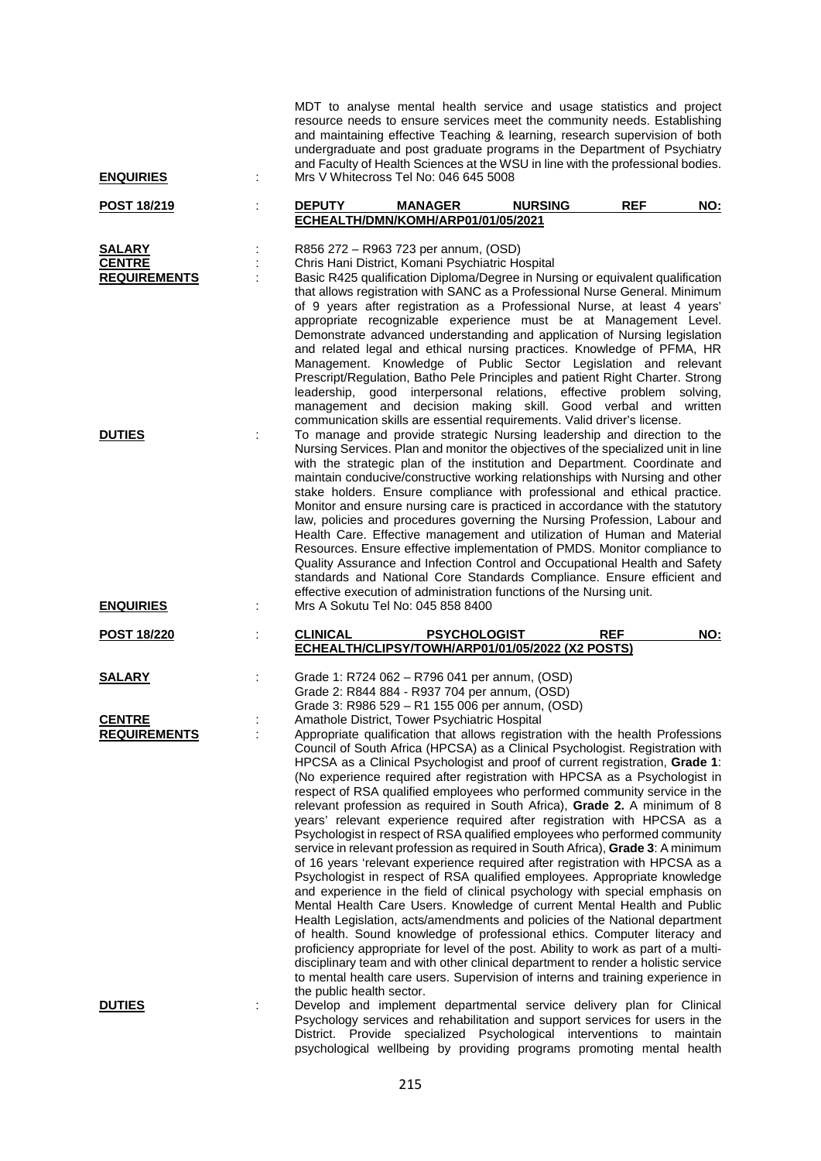| <b>ENQUIRIES</b>                                      | MDT to analyse mental health service and usage statistics and project<br>resource needs to ensure services meet the community needs. Establishing<br>and maintaining effective Teaching & learning, research supervision of both<br>undergraduate and post graduate programs in the Department of Psychiatry<br>and Faculty of Health Sciences at the WSU in line with the professional bodies.<br>Mrs V Whitecross Tel No: 046 645 5008                                                                                                                                                                                                                                                                                                                                                                                                                                                                                                                                                                                                                                                                                                                                                                                                                                                                                                                                                                                                                                                                                                                        |
|-------------------------------------------------------|-----------------------------------------------------------------------------------------------------------------------------------------------------------------------------------------------------------------------------------------------------------------------------------------------------------------------------------------------------------------------------------------------------------------------------------------------------------------------------------------------------------------------------------------------------------------------------------------------------------------------------------------------------------------------------------------------------------------------------------------------------------------------------------------------------------------------------------------------------------------------------------------------------------------------------------------------------------------------------------------------------------------------------------------------------------------------------------------------------------------------------------------------------------------------------------------------------------------------------------------------------------------------------------------------------------------------------------------------------------------------------------------------------------------------------------------------------------------------------------------------------------------------------------------------------------------|
| <b>POST 18/219</b>                                    | <b>REF</b><br><b>DEPUTY</b><br><b>MANAGER</b><br><b>NURSING</b><br>NO:<br>ECHEALTH/DMN/KOMH/ARP01/01/05/2021                                                                                                                                                                                                                                                                                                                                                                                                                                                                                                                                                                                                                                                                                                                                                                                                                                                                                                                                                                                                                                                                                                                                                                                                                                                                                                                                                                                                                                                    |
| <b>SALARY</b><br><b>CENTRE</b><br><b>REQUIREMENTS</b> | R856 272 - R963 723 per annum, (OSD)<br>Chris Hani District, Komani Psychiatric Hospital<br>Basic R425 qualification Diploma/Degree in Nursing or equivalent qualification<br>that allows registration with SANC as a Professional Nurse General. Minimum<br>of 9 years after registration as a Professional Nurse, at least 4 years'<br>appropriate recognizable experience must be at Management Level.<br>Demonstrate advanced understanding and application of Nursing legislation<br>and related legal and ethical nursing practices. Knowledge of PFMA, HR<br>Management. Knowledge of Public Sector Legislation and relevant<br>Prescript/Regulation, Batho Pele Principles and patient Right Charter. Strong<br>good interpersonal relations, effective problem<br>leadership,<br>solving,<br>management and decision making skill. Good verbal and written<br>communication skills are essential requirements. Valid driver's license.                                                                                                                                                                                                                                                                                                                                                                                                                                                                                                                                                                                                                 |
| <b>DUTIES</b>                                         | To manage and provide strategic Nursing leadership and direction to the<br>Nursing Services. Plan and monitor the objectives of the specialized unit in line<br>with the strategic plan of the institution and Department. Coordinate and<br>maintain conducive/constructive working relationships with Nursing and other<br>stake holders. Ensure compliance with professional and ethical practice.<br>Monitor and ensure nursing care is practiced in accordance with the statutory<br>law, policies and procedures governing the Nursing Profession, Labour and<br>Health Care. Effective management and utilization of Human and Material<br>Resources. Ensure effective implementation of PMDS. Monitor compliance to<br>Quality Assurance and Infection Control and Occupational Health and Safety<br>standards and National Core Standards Compliance. Ensure efficient and<br>effective execution of administration functions of the Nursing unit.                                                                                                                                                                                                                                                                                                                                                                                                                                                                                                                                                                                                     |
| <b>ENQUIRIES</b>                                      | Mrs A Sokutu Tel No: 045 858 8400                                                                                                                                                                                                                                                                                                                                                                                                                                                                                                                                                                                                                                                                                                                                                                                                                                                                                                                                                                                                                                                                                                                                                                                                                                                                                                                                                                                                                                                                                                                               |
| <b>POST 18/220</b>                                    | <b>REF</b><br><b>CLINICAL</b><br><b>PSYCHOLOGIST</b><br>NO:<br>ECHEALTH/CLIPSY/TOWH/ARP01/01/05/2022 (X2 POSTS)                                                                                                                                                                                                                                                                                                                                                                                                                                                                                                                                                                                                                                                                                                                                                                                                                                                                                                                                                                                                                                                                                                                                                                                                                                                                                                                                                                                                                                                 |
| <b>SALARY</b>                                         | Grade 1: R724 062 - R796 041 per annum, (OSD)<br>Grade 2: R844 884 - R937 704 per annum, (OSD)<br>Grade 3: R986 529 - R1 155 006 per annum, (OSD)                                                                                                                                                                                                                                                                                                                                                                                                                                                                                                                                                                                                                                                                                                                                                                                                                                                                                                                                                                                                                                                                                                                                                                                                                                                                                                                                                                                                               |
| <b>CENTRE</b><br><b>REQUIREMENTS</b>                  | Amathole District, Tower Psychiatric Hospital<br>Appropriate qualification that allows registration with the health Professions<br>Council of South Africa (HPCSA) as a Clinical Psychologist. Registration with<br>HPCSA as a Clinical Psychologist and proof of current registration, Grade 1:<br>(No experience required after registration with HPCSA as a Psychologist in<br>respect of RSA qualified employees who performed community service in the<br>relevant profession as required in South Africa), Grade 2. A minimum of 8<br>years' relevant experience required after registration with HPCSA as a<br>Psychologist in respect of RSA qualified employees who performed community<br>service in relevant profession as required in South Africa), Grade 3: A minimum<br>of 16 years 'relevant experience required after registration with HPCSA as a<br>Psychologist in respect of RSA qualified employees. Appropriate knowledge<br>and experience in the field of clinical psychology with special emphasis on<br>Mental Health Care Users. Knowledge of current Mental Health and Public<br>Health Legislation, acts/amendments and policies of the National department<br>of health. Sound knowledge of professional ethics. Computer literacy and<br>proficiency appropriate for level of the post. Ability to work as part of a multi-<br>disciplinary team and with other clinical department to render a holistic service<br>to mental health care users. Supervision of interns and training experience in<br>the public health sector. |
| <b>DUTIES</b>                                         | Develop and implement departmental service delivery plan for Clinical<br>Psychology services and rehabilitation and support services for users in the<br>District. Provide specialized Psychological interventions to maintain<br>psychological wellbeing by providing programs promoting mental health                                                                                                                                                                                                                                                                                                                                                                                                                                                                                                                                                                                                                                                                                                                                                                                                                                                                                                                                                                                                                                                                                                                                                                                                                                                         |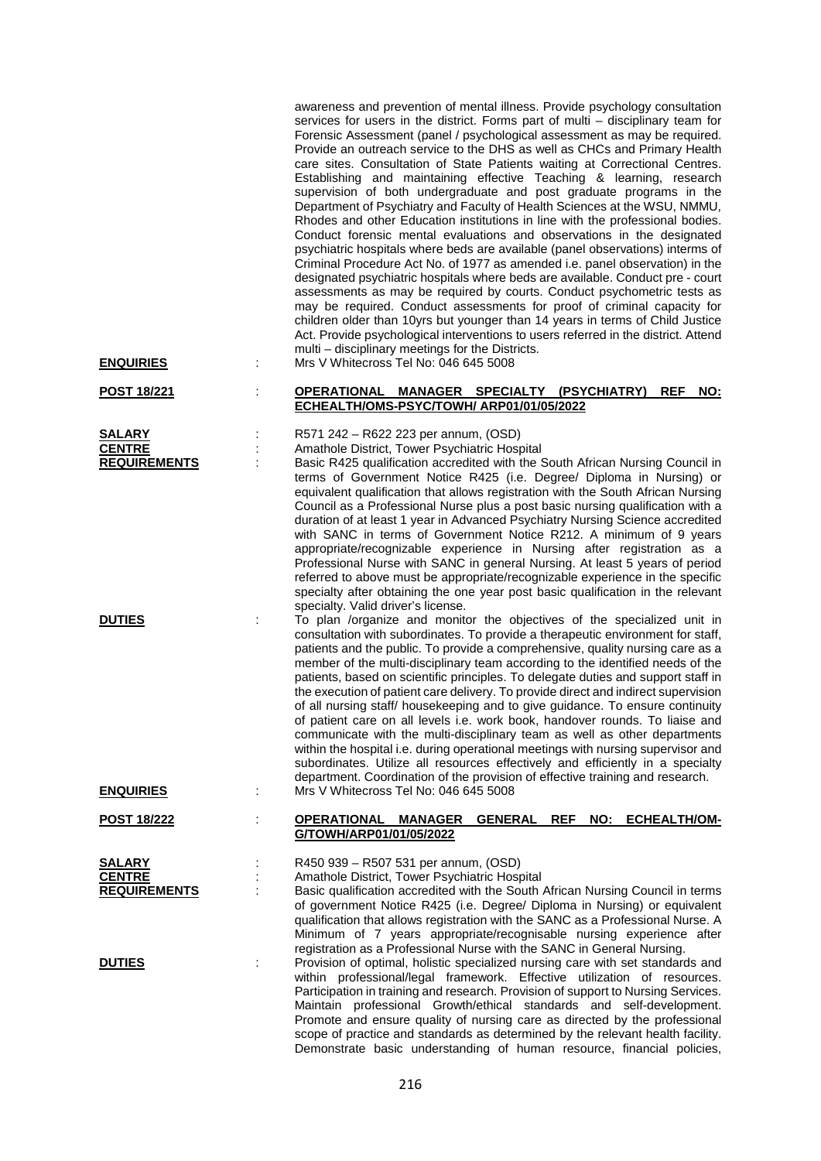|                                        |         | awareness and prevention of mental illness. Provide psychology consultation<br>services for users in the district. Forms part of multi - disciplinary team for<br>Forensic Assessment (panel / psychological assessment as may be required.<br>Provide an outreach service to the DHS as well as CHCs and Primary Health<br>care sites. Consultation of State Patients waiting at Correctional Centres.<br>Establishing and maintaining effective Teaching & learning, research<br>supervision of both undergraduate and post graduate programs in the<br>Department of Psychiatry and Faculty of Health Sciences at the WSU, NMMU,<br>Rhodes and other Education institutions in line with the professional bodies.<br>Conduct forensic mental evaluations and observations in the designated<br>psychiatric hospitals where beds are available (panel observations) interms of<br>Criminal Procedure Act No. of 1977 as amended i.e. panel observation) in the<br>designated psychiatric hospitals where beds are available. Conduct pre - court<br>assessments as may be required by courts. Conduct psychometric tests as<br>may be required. Conduct assessments for proof of criminal capacity for<br>children older than 10yrs but younger than 14 years in terms of Child Justice<br>Act. Provide psychological interventions to users referred in the district. Attend<br>multi - disciplinary meetings for the Districts. |
|----------------------------------------|---------|-------------------------------------------------------------------------------------------------------------------------------------------------------------------------------------------------------------------------------------------------------------------------------------------------------------------------------------------------------------------------------------------------------------------------------------------------------------------------------------------------------------------------------------------------------------------------------------------------------------------------------------------------------------------------------------------------------------------------------------------------------------------------------------------------------------------------------------------------------------------------------------------------------------------------------------------------------------------------------------------------------------------------------------------------------------------------------------------------------------------------------------------------------------------------------------------------------------------------------------------------------------------------------------------------------------------------------------------------------------------------------------------------------------------------------------|
| <b>ENQUIRIES</b><br><u>POST 18/221</u> | ÷       | Mrs V Whitecross Tel No: 046 645 5008<br>OPERATIONAL MANAGER SPECIALTY (PSYCHIATRY)<br>NO:<br><b>REF</b>                                                                                                                                                                                                                                                                                                                                                                                                                                                                                                                                                                                                                                                                                                                                                                                                                                                                                                                                                                                                                                                                                                                                                                                                                                                                                                                            |
|                                        |         | ECHEALTH/OMS-PSYC/TOWH/ ARP01/01/05/2022                                                                                                                                                                                                                                                                                                                                                                                                                                                                                                                                                                                                                                                                                                                                                                                                                                                                                                                                                                                                                                                                                                                                                                                                                                                                                                                                                                                            |
| <b>SALARY</b>                          |         | R571 242 - R622 223 per annum, (OSD)                                                                                                                                                                                                                                                                                                                                                                                                                                                                                                                                                                                                                                                                                                                                                                                                                                                                                                                                                                                                                                                                                                                                                                                                                                                                                                                                                                                                |
| <b>CENTRE</b>                          |         | Amathole District, Tower Psychiatric Hospital                                                                                                                                                                                                                                                                                                                                                                                                                                                                                                                                                                                                                                                                                                                                                                                                                                                                                                                                                                                                                                                                                                                                                                                                                                                                                                                                                                                       |
| <b>REQUIREMENTS</b>                    |         | Basic R425 qualification accredited with the South African Nursing Council in<br>terms of Government Notice R425 (i.e. Degree/ Diploma in Nursing) or<br>equivalent qualification that allows registration with the South African Nursing                                                                                                                                                                                                                                                                                                                                                                                                                                                                                                                                                                                                                                                                                                                                                                                                                                                                                                                                                                                                                                                                                                                                                                                           |
|                                        |         | Council as a Professional Nurse plus a post basic nursing qualification with a<br>duration of at least 1 year in Advanced Psychiatry Nursing Science accredited<br>with SANC in terms of Government Notice R212. A minimum of 9 years                                                                                                                                                                                                                                                                                                                                                                                                                                                                                                                                                                                                                                                                                                                                                                                                                                                                                                                                                                                                                                                                                                                                                                                               |
|                                        |         | appropriate/recognizable experience in Nursing after registration as a                                                                                                                                                                                                                                                                                                                                                                                                                                                                                                                                                                                                                                                                                                                                                                                                                                                                                                                                                                                                                                                                                                                                                                                                                                                                                                                                                              |
|                                        |         | Professional Nurse with SANC in general Nursing. At least 5 years of period                                                                                                                                                                                                                                                                                                                                                                                                                                                                                                                                                                                                                                                                                                                                                                                                                                                                                                                                                                                                                                                                                                                                                                                                                                                                                                                                                         |
|                                        |         | referred to above must be appropriate/recognizable experience in the specific                                                                                                                                                                                                                                                                                                                                                                                                                                                                                                                                                                                                                                                                                                                                                                                                                                                                                                                                                                                                                                                                                                                                                                                                                                                                                                                                                       |
|                                        |         | specialty after obtaining the one year post basic qualification in the relevant<br>specialty. Valid driver's license.                                                                                                                                                                                                                                                                                                                                                                                                                                                                                                                                                                                                                                                                                                                                                                                                                                                                                                                                                                                                                                                                                                                                                                                                                                                                                                               |
| <b>DUTIES</b>                          |         | To plan /organize and monitor the objectives of the specialized unit in                                                                                                                                                                                                                                                                                                                                                                                                                                                                                                                                                                                                                                                                                                                                                                                                                                                                                                                                                                                                                                                                                                                                                                                                                                                                                                                                                             |
|                                        |         | consultation with subordinates. To provide a therapeutic environment for staff,                                                                                                                                                                                                                                                                                                                                                                                                                                                                                                                                                                                                                                                                                                                                                                                                                                                                                                                                                                                                                                                                                                                                                                                                                                                                                                                                                     |
|                                        |         | patients and the public. To provide a comprehensive, quality nursing care as a<br>member of the multi-disciplinary team according to the identified needs of the                                                                                                                                                                                                                                                                                                                                                                                                                                                                                                                                                                                                                                                                                                                                                                                                                                                                                                                                                                                                                                                                                                                                                                                                                                                                    |
|                                        |         | patients, based on scientific principles. To delegate duties and support staff in                                                                                                                                                                                                                                                                                                                                                                                                                                                                                                                                                                                                                                                                                                                                                                                                                                                                                                                                                                                                                                                                                                                                                                                                                                                                                                                                                   |
|                                        |         | the execution of patient care delivery. To provide direct and indirect supervision                                                                                                                                                                                                                                                                                                                                                                                                                                                                                                                                                                                                                                                                                                                                                                                                                                                                                                                                                                                                                                                                                                                                                                                                                                                                                                                                                  |
|                                        |         | of all nursing staff/ housekeeping and to give guidance. To ensure continuity                                                                                                                                                                                                                                                                                                                                                                                                                                                                                                                                                                                                                                                                                                                                                                                                                                                                                                                                                                                                                                                                                                                                                                                                                                                                                                                                                       |
|                                        |         | of patient care on all levels i.e. work book, handover rounds. To liaise and                                                                                                                                                                                                                                                                                                                                                                                                                                                                                                                                                                                                                                                                                                                                                                                                                                                                                                                                                                                                                                                                                                                                                                                                                                                                                                                                                        |
|                                        |         | communicate with the multi-disciplinary team as well as other departments<br>within the hospital i.e. during operational meetings with nursing supervisor and                                                                                                                                                                                                                                                                                                                                                                                                                                                                                                                                                                                                                                                                                                                                                                                                                                                                                                                                                                                                                                                                                                                                                                                                                                                                       |
|                                        |         | subordinates. Utilize all resources effectively and efficiently in a specialty                                                                                                                                                                                                                                                                                                                                                                                                                                                                                                                                                                                                                                                                                                                                                                                                                                                                                                                                                                                                                                                                                                                                                                                                                                                                                                                                                      |
|                                        |         | department. Coordination of the provision of effective training and research.                                                                                                                                                                                                                                                                                                                                                                                                                                                                                                                                                                                                                                                                                                                                                                                                                                                                                                                                                                                                                                                                                                                                                                                                                                                                                                                                                       |
| <b>ENQUIRIES</b>                       | ÷       | Mrs V Whitecross Tel No: 046 645 5008                                                                                                                                                                                                                                                                                                                                                                                                                                                                                                                                                                                                                                                                                                                                                                                                                                                                                                                                                                                                                                                                                                                                                                                                                                                                                                                                                                                               |
| <u>POST 18/222</u>                     |         | <b>OPERATIONAL</b><br><b>MANAGER</b><br><b>REF</b><br>NO:<br><b>ECHEALTH/OM-</b><br>GENERAL                                                                                                                                                                                                                                                                                                                                                                                                                                                                                                                                                                                                                                                                                                                                                                                                                                                                                                                                                                                                                                                                                                                                                                                                                                                                                                                                         |
|                                        |         | G/TOWH/ARP01/01/05/2022                                                                                                                                                                                                                                                                                                                                                                                                                                                                                                                                                                                                                                                                                                                                                                                                                                                                                                                                                                                                                                                                                                                                                                                                                                                                                                                                                                                                             |
| <b>SALARY</b>                          |         | R450 939 - R507 531 per annum, (OSD)                                                                                                                                                                                                                                                                                                                                                                                                                                                                                                                                                                                                                                                                                                                                                                                                                                                                                                                                                                                                                                                                                                                                                                                                                                                                                                                                                                                                |
| <b>CENTRE</b>                          |         | Amathole District, Tower Psychiatric Hospital                                                                                                                                                                                                                                                                                                                                                                                                                                                                                                                                                                                                                                                                                                                                                                                                                                                                                                                                                                                                                                                                                                                                                                                                                                                                                                                                                                                       |
| <b>REQUIREMENTS</b>                    | $\cdot$ | Basic qualification accredited with the South African Nursing Council in terms                                                                                                                                                                                                                                                                                                                                                                                                                                                                                                                                                                                                                                                                                                                                                                                                                                                                                                                                                                                                                                                                                                                                                                                                                                                                                                                                                      |
|                                        |         | of government Notice R425 (i.e. Degree/ Diploma in Nursing) or equivalent<br>qualification that allows registration with the SANC as a Professional Nurse. A                                                                                                                                                                                                                                                                                                                                                                                                                                                                                                                                                                                                                                                                                                                                                                                                                                                                                                                                                                                                                                                                                                                                                                                                                                                                        |
|                                        |         | Minimum of 7 years appropriate/recognisable nursing experience after                                                                                                                                                                                                                                                                                                                                                                                                                                                                                                                                                                                                                                                                                                                                                                                                                                                                                                                                                                                                                                                                                                                                                                                                                                                                                                                                                                |
|                                        |         | registration as a Professional Nurse with the SANC in General Nursing.                                                                                                                                                                                                                                                                                                                                                                                                                                                                                                                                                                                                                                                                                                                                                                                                                                                                                                                                                                                                                                                                                                                                                                                                                                                                                                                                                              |
| <b>DUTIES</b>                          |         | Provision of optimal, holistic specialized nursing care with set standards and                                                                                                                                                                                                                                                                                                                                                                                                                                                                                                                                                                                                                                                                                                                                                                                                                                                                                                                                                                                                                                                                                                                                                                                                                                                                                                                                                      |
|                                        |         | within professional/legal framework. Effective utilization of resources.<br>Participation in training and research. Provision of support to Nursing Services.                                                                                                                                                                                                                                                                                                                                                                                                                                                                                                                                                                                                                                                                                                                                                                                                                                                                                                                                                                                                                                                                                                                                                                                                                                                                       |
|                                        |         | Maintain professional Growth/ethical standards and self-development.                                                                                                                                                                                                                                                                                                                                                                                                                                                                                                                                                                                                                                                                                                                                                                                                                                                                                                                                                                                                                                                                                                                                                                                                                                                                                                                                                                |
|                                        |         | Promote and ensure quality of nursing care as directed by the professional                                                                                                                                                                                                                                                                                                                                                                                                                                                                                                                                                                                                                                                                                                                                                                                                                                                                                                                                                                                                                                                                                                                                                                                                                                                                                                                                                          |
|                                        |         | scope of practice and standards as determined by the relevant health facility.                                                                                                                                                                                                                                                                                                                                                                                                                                                                                                                                                                                                                                                                                                                                                                                                                                                                                                                                                                                                                                                                                                                                                                                                                                                                                                                                                      |
|                                        |         | Demonstrate basic understanding of human resource, financial policies,                                                                                                                                                                                                                                                                                                                                                                                                                                                                                                                                                                                                                                                                                                                                                                                                                                                                                                                                                                                                                                                                                                                                                                                                                                                                                                                                                              |